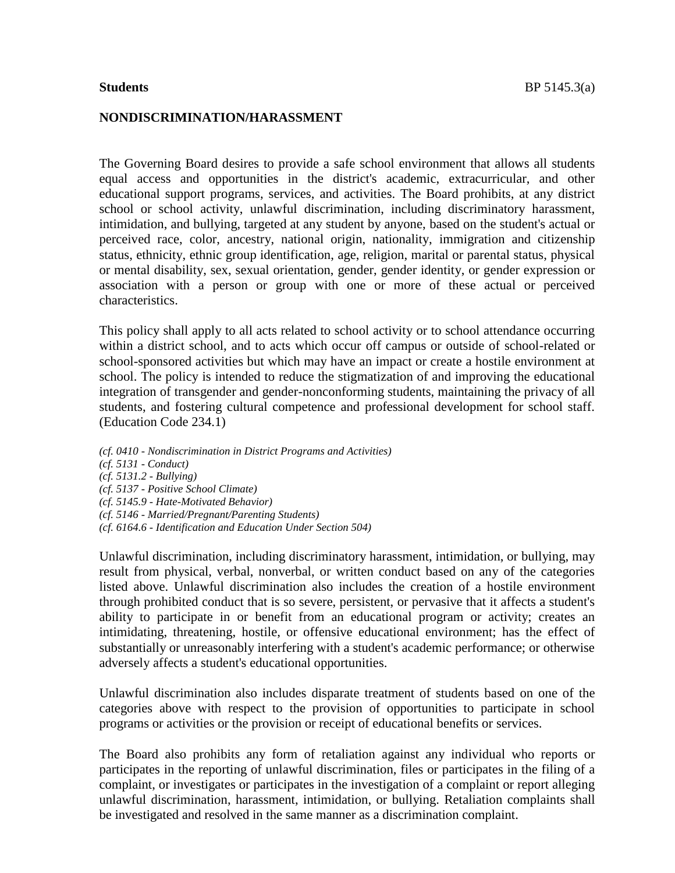#### **NONDISCRIMINATION/HARASSMENT**

The Governing Board desires to provide a safe school environment that allows all students equal access and opportunities in the district's academic, extracurricular, and other educational support programs, services, and activities. The Board prohibits, at any district school or school activity, unlawful discrimination, including discriminatory harassment, intimidation, and bullying, targeted at any student by anyone, based on the student's actual or perceived race, color, ancestry, national origin, nationality, immigration and citizenship status, ethnicity, ethnic group identification, age, religion, marital or parental status, physical or mental disability, sex, sexual orientation, gender, gender identity, or gender expression or association with a person or group with one or more of these actual or perceived characteristics.

This policy shall apply to all acts related to school activity or to school attendance occurring within a district school, and to acts which occur off campus or outside of school-related or school-sponsored activities but which may have an impact or create a hostile environment at school. The policy is intended to reduce the stigmatization of and improving the educational integration of transgender and gender-nonconforming students, maintaining the privacy of all students, and fostering cultural competence and professional development for school staff. (Education Code 234.1)

*(cf. 0410 - Nondiscrimination in District Programs and Activities) (cf. 5131 - Conduct) (cf. 5131.2 - Bullying) (cf. 5137 - Positive School Climate) (cf. 5145.9 - Hate-Motivated Behavior) (cf. 5146 - Married/Pregnant/Parenting Students) (cf. 6164.6 - Identification and Education Under Section 504)*

Unlawful discrimination, including discriminatory harassment, intimidation, or bullying, may result from physical, verbal, nonverbal, or written conduct based on any of the categories listed above. Unlawful discrimination also includes the creation of a hostile environment through prohibited conduct that is so severe, persistent, or pervasive that it affects a student's ability to participate in or benefit from an educational program or activity; creates an intimidating, threatening, hostile, or offensive educational environment; has the effect of substantially or unreasonably interfering with a student's academic performance; or otherwise adversely affects a student's educational opportunities.

Unlawful discrimination also includes disparate treatment of students based on one of the categories above with respect to the provision of opportunities to participate in school programs or activities or the provision or receipt of educational benefits or services.

The Board also prohibits any form of retaliation against any individual who reports or participates in the reporting of unlawful discrimination, files or participates in the filing of a complaint, or investigates or participates in the investigation of a complaint or report alleging unlawful discrimination, harassment, intimidation, or bullying. Retaliation complaints shall be investigated and resolved in the same manner as a discrimination complaint.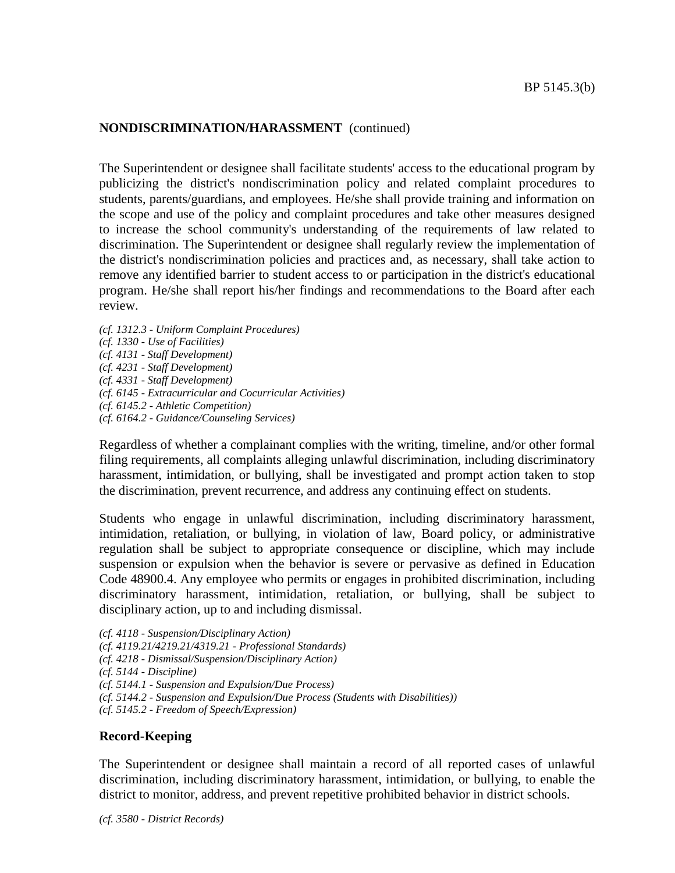The Superintendent or designee shall facilitate students' access to the educational program by publicizing the district's nondiscrimination policy and related complaint procedures to students, parents/guardians, and employees. He/she shall provide training and information on the scope and use of the policy and complaint procedures and take other measures designed to increase the school community's understanding of the requirements of law related to discrimination. The Superintendent or designee shall regularly review the implementation of the district's nondiscrimination policies and practices and, as necessary, shall take action to remove any identified barrier to student access to or participation in the district's educational program. He/she shall report his/her findings and recommendations to the Board after each review.

*(cf. 1312.3 - Uniform Complaint Procedures) (cf. 1330 - Use of Facilities) (cf. 4131 - Staff Development) (cf. 4231 - Staff Development) (cf. 4331 - Staff Development) (cf. 6145 - Extracurricular and Cocurricular Activities) (cf. 6145.2 - Athletic Competition) (cf. 6164.2 - Guidance/Counseling Services)*

Regardless of whether a complainant complies with the writing, timeline, and/or other formal filing requirements, all complaints alleging unlawful discrimination, including discriminatory harassment, intimidation, or bullying, shall be investigated and prompt action taken to stop the discrimination, prevent recurrence, and address any continuing effect on students.

Students who engage in unlawful discrimination, including discriminatory harassment, intimidation, retaliation, or bullying, in violation of law, Board policy, or administrative regulation shall be subject to appropriate consequence or discipline, which may include suspension or expulsion when the behavior is severe or pervasive as defined in Education Code 48900.4. Any employee who permits or engages in prohibited discrimination, including discriminatory harassment, intimidation, retaliation, or bullying, shall be subject to disciplinary action, up to and including dismissal.

- *(cf. 4118 - Suspension/Disciplinary Action)*
- *(cf. 4119.21/4219.21/4319.21 - Professional Standards)*
- *(cf. 4218 - Dismissal/Suspension/Disciplinary Action)*
- *(cf. 5144 - Discipline)*
- *(cf. 5144.1 - Suspension and Expulsion/Due Process)*
- *(cf. 5144.2 - Suspension and Expulsion/Due Process (Students with Disabilities))*
- *(cf. 5145.2 - Freedom of Speech/Expression)*

## **Record-Keeping**

The Superintendent or designee shall maintain a record of all reported cases of unlawful discrimination, including discriminatory harassment, intimidation, or bullying, to enable the district to monitor, address, and prevent repetitive prohibited behavior in district schools.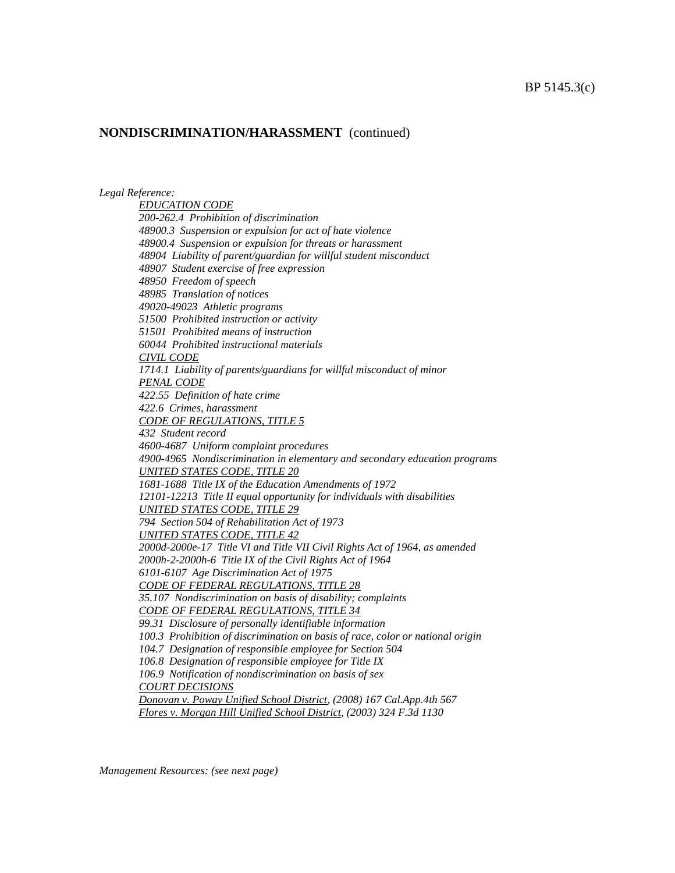*Legal Reference:*

*EDUCATION CODE 200-262.4 Prohibition of discrimination 48900.3 Suspension or expulsion for act of hate violence 48900.4 Suspension or expulsion for threats or harassment 48904 Liability of parent/guardian for willful student misconduct 48907 Student exercise of free expression 48950 Freedom of speech 48985 Translation of notices 49020-49023 Athletic programs 51500 Prohibited instruction or activity 51501 Prohibited means of instruction 60044 Prohibited instructional materials CIVIL CODE 1714.1 Liability of parents/guardians for willful misconduct of minor PENAL CODE 422.55 Definition of hate crime 422.6 Crimes, harassment CODE OF REGULATIONS, TITLE 5 432 Student record 4600-4687 Uniform complaint procedures 4900-4965 Nondiscrimination in elementary and secondary education programs UNITED STATES CODE, TITLE 20 1681-1688 Title IX of the Education Amendments of 1972 12101-12213 Title II equal opportunity for individuals with disabilities UNITED STATES CODE, TITLE 29 794 Section 504 of Rehabilitation Act of 1973 UNITED STATES CODE, TITLE 42 2000d-2000e-17 Title VI and Title VII Civil Rights Act of 1964, as amended 2000h-2-2000h-6 Title IX of the Civil Rights Act of 1964 6101-6107 Age Discrimination Act of 1975 CODE OF FEDERAL REGULATIONS, TITLE 28 35.107 Nondiscrimination on basis of disability; complaints CODE OF FEDERAL REGULATIONS, TITLE 34 99.31 Disclosure of personally identifiable information 100.3 Prohibition of discrimination on basis of race, color or national origin 104.7 Designation of responsible employee for Section 504 106.8 Designation of responsible employee for Title IX 106.9 Notification of nondiscrimination on basis of sex COURT DECISIONS Donovan v. Poway Unified School District, (2008) 167 Cal.App.4th 567 Flores v. Morgan Hill Unified School District, (2003) 324 F.3d 1130*

*Management Resources: (see next page)*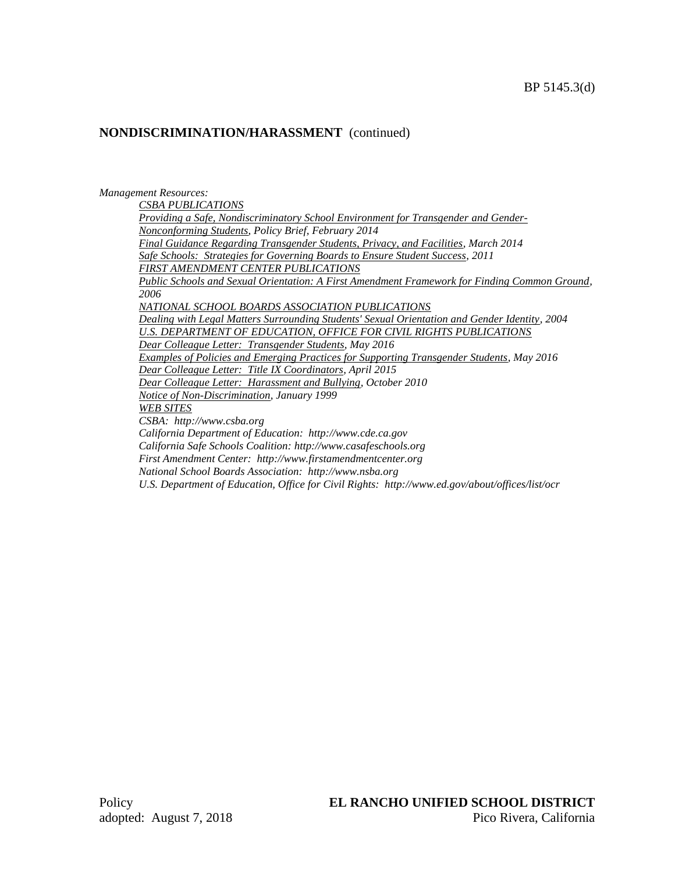#### *Management Resources:*

*CSBA PUBLICATIONS Providing a Safe, Nondiscriminatory School Environment for Transgender and Gender-Nonconforming Students, Policy Brief, February 2014 Final Guidance Regarding Transgender Students, Privacy, and Facilities, March 2014 Safe Schools: Strategies for Governing Boards to Ensure Student Success, 2011 FIRST AMENDMENT CENTER PUBLICATIONS Public Schools and Sexual Orientation: A First Amendment Framework for Finding Common Ground, 2006 NATIONAL SCHOOL BOARDS ASSOCIATION PUBLICATIONS Dealing with Legal Matters Surrounding Students' Sexual Orientation and Gender Identity, 2004 U.S. DEPARTMENT OF EDUCATION, OFFICE FOR CIVIL RIGHTS PUBLICATIONS Dear Colleague Letter: Transgender Students, May 2016 Examples of Policies and Emerging Practices for Supporting Transgender Students, May 2016 Dear Colleague Letter: Title IX Coordinators, April 2015 Dear Colleague Letter: Harassment and Bullying, October 2010 Notice of Non-Discrimination, January 1999 WEB SITES CSBA: http://www.csba.org California Department of Education: http://www.cde.ca.gov California Safe Schools Coalition: http://www.casafeschools.org First Amendment Center: http://www.firstamendmentcenter.org National School Boards Association: http://www.nsba.org U.S. Department of Education, Office for Civil Rights: http://www.ed.gov/about/offices/list/ocr*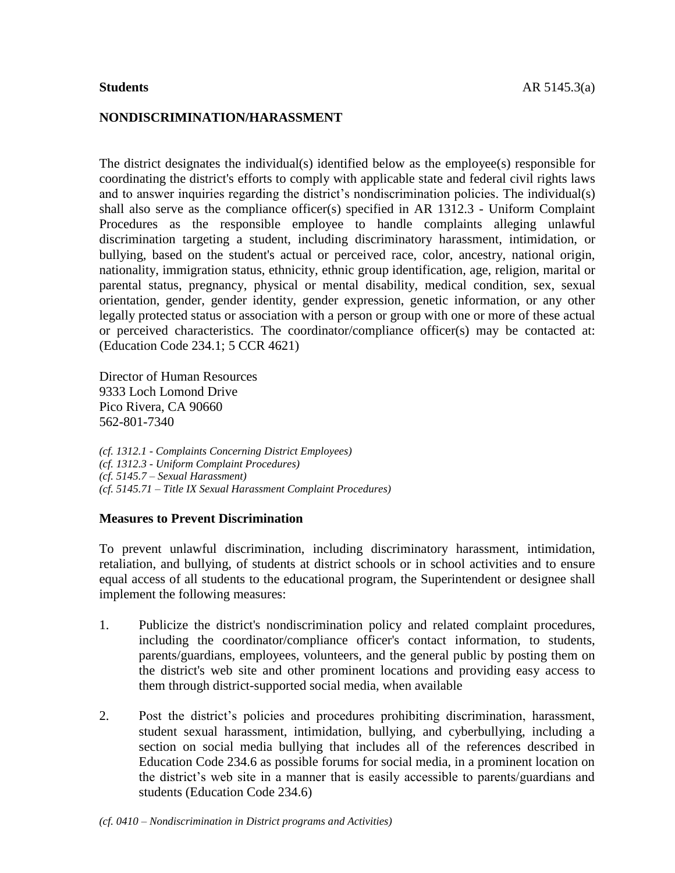## **NONDISCRIMINATION/HARASSMENT**

The district designates the individual(s) identified below as the employee(s) responsible for coordinating the district's efforts to comply with applicable state and federal civil rights laws and to answer inquiries regarding the district's nondiscrimination policies. The individual(s) shall also serve as the compliance officer(s) specified in AR 1312.3 - Uniform Complaint Procedures as the responsible employee to handle complaints alleging unlawful discrimination targeting a student, including discriminatory harassment, intimidation, or bullying, based on the student's actual or perceived race, color, ancestry, national origin, nationality, immigration status, ethnicity, ethnic group identification, age, religion, marital or parental status, pregnancy, physical or mental disability, medical condition, sex, sexual orientation, gender, gender identity, gender expression, genetic information, or any other legally protected status or association with a person or group with one or more of these actual or perceived characteristics. The coordinator/compliance officer(s) may be contacted at: (Education Code 234.1; 5 CCR 4621)

Director of Human Resources 9333 Loch Lomond Drive Pico Rivera, CA 90660 562-801-7340

*(cf. 1312.1 - Complaints Concerning District Employees) (cf. 1312.3 - Uniform Complaint Procedures) (cf. 5145.7 – Sexual Harassment) (cf. 5145.71 – Title IX Sexual Harassment Complaint Procedures)*

#### **Measures to Prevent Discrimination**

To prevent unlawful discrimination, including discriminatory harassment, intimidation, retaliation, and bullying, of students at district schools or in school activities and to ensure equal access of all students to the educational program, the Superintendent or designee shall implement the following measures:

- 1. Publicize the district's nondiscrimination policy and related complaint procedures, including the coordinator/compliance officer's contact information, to students, parents/guardians, employees, volunteers, and the general public by posting them on the district's web site and other prominent locations and providing easy access to them through district-supported social media, when available
- 2. Post the district's policies and procedures prohibiting discrimination, harassment, student sexual harassment, intimidation, bullying, and cyberbullying, including a section on social media bullying that includes all of the references described in Education Code 234.6 as possible forums for social media, in a prominent location on the district's web site in a manner that is easily accessible to parents/guardians and students (Education Code 234.6)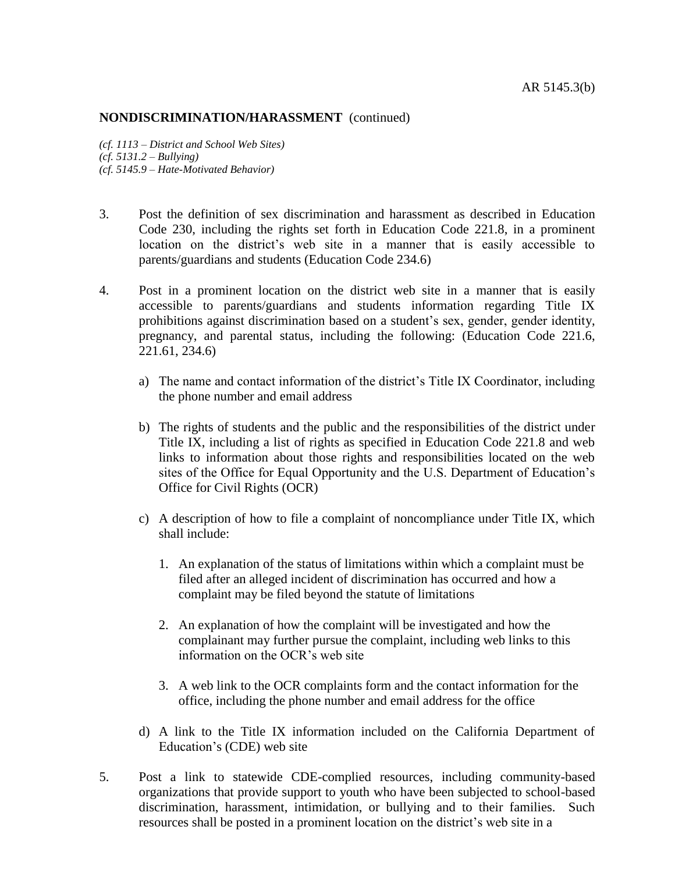*(cf. 1113 – District and School Web Sites) (cf. 5131.2 – Bullying) (cf. 5145.9 – Hate-Motivated Behavior)*

- 3. Post the definition of sex discrimination and harassment as described in Education Code 230, including the rights set forth in Education Code 221.8, in a prominent location on the district's web site in a manner that is easily accessible to parents/guardians and students (Education Code 234.6)
- 4. Post in a prominent location on the district web site in a manner that is easily accessible to parents/guardians and students information regarding Title IX prohibitions against discrimination based on a student's sex, gender, gender identity, pregnancy, and parental status, including the following: (Education Code 221.6, 221.61, 234.6)
	- a) The name and contact information of the district's Title IX Coordinator, including the phone number and email address
	- b) The rights of students and the public and the responsibilities of the district under Title IX, including a list of rights as specified in Education Code 221.8 and web links to information about those rights and responsibilities located on the web sites of the Office for Equal Opportunity and the U.S. Department of Education's Office for Civil Rights (OCR)
	- c) A description of how to file a complaint of noncompliance under Title IX, which shall include:
		- 1. An explanation of the status of limitations within which a complaint must be filed after an alleged incident of discrimination has occurred and how a complaint may be filed beyond the statute of limitations
		- 2. An explanation of how the complaint will be investigated and how the complainant may further pursue the complaint, including web links to this information on the OCR's web site
		- 3. A web link to the OCR complaints form and the contact information for the office, including the phone number and email address for the office
	- d) A link to the Title IX information included on the California Department of Education's (CDE) web site
- 5. Post a link to statewide CDE-complied resources, including community-based organizations that provide support to youth who have been subjected to school-based discrimination, harassment, intimidation, or bullying and to their families. Such resources shall be posted in a prominent location on the district's web site in a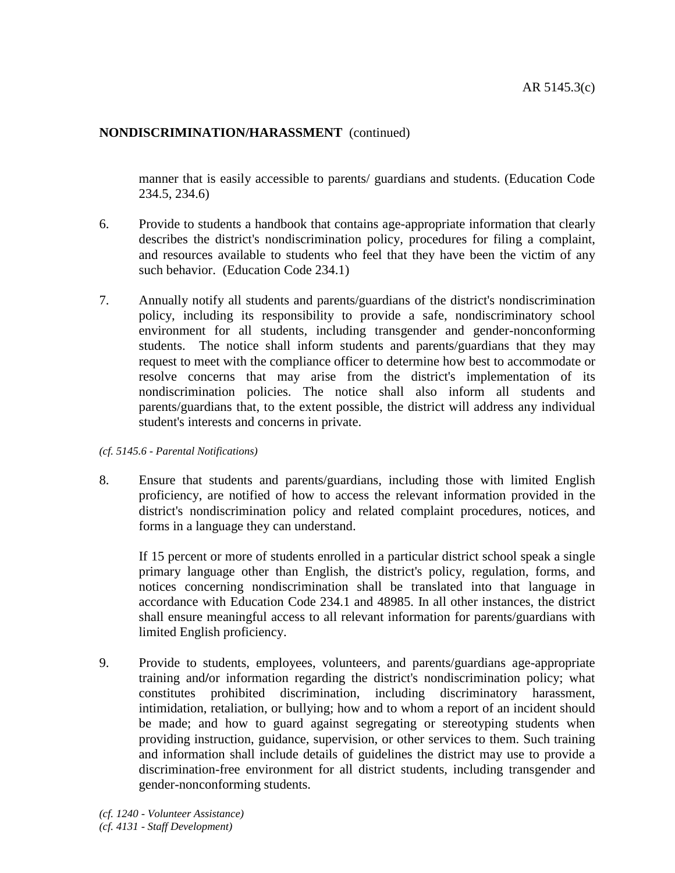manner that is easily accessible to parents/ guardians and students. (Education Code 234.5, 234.6)

- 6. Provide to students a handbook that contains age-appropriate information that clearly describes the district's nondiscrimination policy, procedures for filing a complaint, and resources available to students who feel that they have been the victim of any such behavior. (Education Code 234.1)
- 7. Annually notify all students and parents/guardians of the district's nondiscrimination policy, including its responsibility to provide a safe, nondiscriminatory school environment for all students, including transgender and gender-nonconforming students. The notice shall inform students and parents/guardians that they may request to meet with the compliance officer to determine how best to accommodate or resolve concerns that may arise from the district's implementation of its nondiscrimination policies. The notice shall also inform all students and parents/guardians that, to the extent possible, the district will address any individual student's interests and concerns in private.

#### *(cf. 5145.6 - Parental Notifications)*

8. Ensure that students and parents/guardians, including those with limited English proficiency, are notified of how to access the relevant information provided in the district's nondiscrimination policy and related complaint procedures, notices, and forms in a language they can understand.

If 15 percent or more of students enrolled in a particular district school speak a single primary language other than English, the district's policy, regulation, forms, and notices concerning nondiscrimination shall be translated into that language in accordance with Education Code 234.1 and 48985. In all other instances, the district shall ensure meaningful access to all relevant information for parents/guardians with limited English proficiency.

9. Provide to students, employees, volunteers, and parents/guardians age-appropriate training and**/**or information regarding the district's nondiscrimination policy; what constitutes prohibited discrimination, including discriminatory harassment, intimidation, retaliation, or bullying; how and to whom a report of an incident should be made; and how to guard against segregating or stereotyping students when providing instruction, guidance, supervision, or other services to them. Such training and information shall include details of guidelines the district may use to provide a discrimination-free environment for all district students, including transgender and gender-nonconforming students.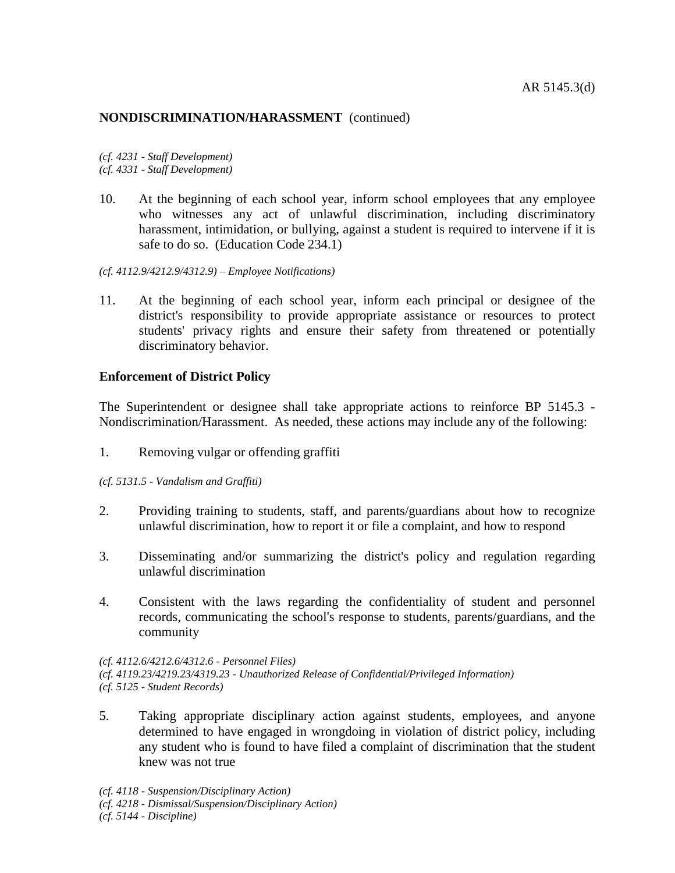*(cf. 4231 - Staff Development) (cf. 4331 - Staff Development)*

- 10. At the beginning of each school year, inform school employees that any employee who witnesses any act of unlawful discrimination, including discriminatory harassment, intimidation, or bullying, against a student is required to intervene if it is safe to do so. (Education Code 234.1)
- *(cf. 4112.9/4212.9/4312.9) – Employee Notifications)*
- 11. At the beginning of each school year, inform each principal or designee of the district's responsibility to provide appropriate assistance or resources to protect students' privacy rights and ensure their safety from threatened or potentially discriminatory behavior.

## **Enforcement of District Policy**

The Superintendent or designee shall take appropriate actions to reinforce BP 5145.3 - Nondiscrimination/Harassment. As needed, these actions may include any of the following:

- 1. Removing vulgar or offending graffiti
- *(cf. 5131.5 - Vandalism and Graffiti)*
- 2. Providing training to students, staff, and parents/guardians about how to recognize unlawful discrimination, how to report it or file a complaint, and how to respond
- 3. Disseminating and/or summarizing the district's policy and regulation regarding unlawful discrimination
- 4. Consistent with the laws regarding the confidentiality of student and personnel records, communicating the school's response to students, parents/guardians, and the community

*(cf. 4112.6/4212.6/4312.6 - Personnel Files) (cf. 4119.23/4219.23/4319.23 - Unauthorized Release of Confidential/Privileged Information) (cf. 5125 - Student Records)*

5. Taking appropriate disciplinary action against students, employees, and anyone determined to have engaged in wrongdoing in violation of district policy, including any student who is found to have filed a complaint of discrimination that the student knew was not true

*(cf. 4118 - Suspension/Disciplinary Action)*

*(cf. 5144 - Discipline)*

*<sup>(</sup>cf. 4218 - Dismissal/Suspension/Disciplinary Action)*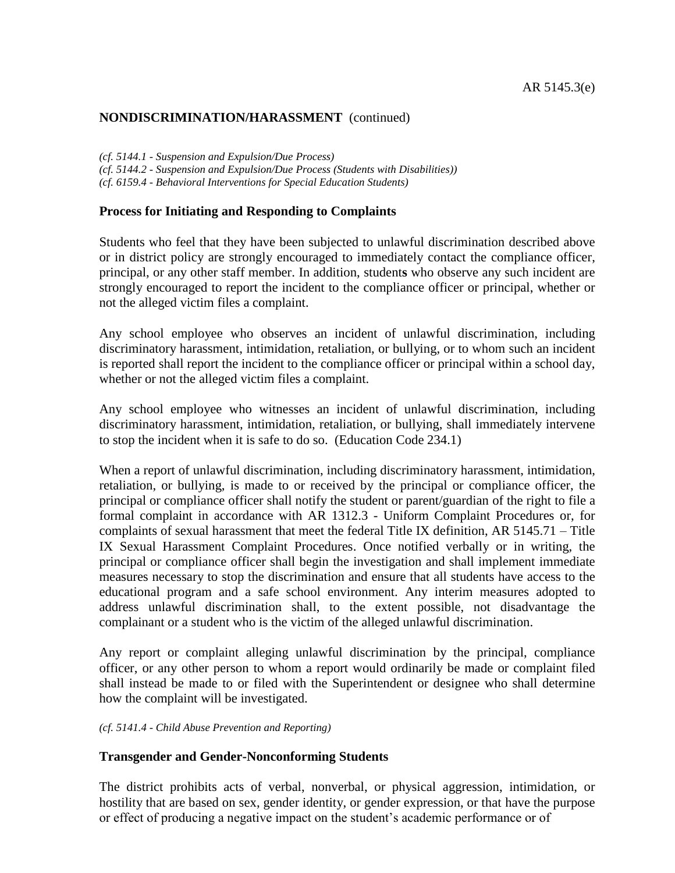*(cf. 5144.1 - Suspension and Expulsion/Due Process)*

*(cf. 5144.2 - Suspension and Expulsion/Due Process (Students with Disabilities))*

*(cf. 6159.4 - Behavioral Interventions for Special Education Students)*

## **Process for Initiating and Responding to Complaints**

Students who feel that they have been subjected to unlawful discrimination described above or in district policy are strongly encouraged to immediately contact the compliance officer, principal, or any other staff member. In addition, student**s** who observe any such incident are strongly encouraged to report the incident to the compliance officer or principal, whether or not the alleged victim files a complaint.

Any school employee who observes an incident of unlawful discrimination, including discriminatory harassment, intimidation, retaliation, or bullying, or to whom such an incident is reported shall report the incident to the compliance officer or principal within a school day, whether or not the alleged victim files a complaint.

Any school employee who witnesses an incident of unlawful discrimination, including discriminatory harassment, intimidation, retaliation, or bullying, shall immediately intervene to stop the incident when it is safe to do so. (Education Code 234.1)

When a report of unlawful discrimination, including discriminatory harassment, intimidation, retaliation, or bullying, is made to or received by the principal or compliance officer, the principal or compliance officer shall notify the student or parent/guardian of the right to file a formal complaint in accordance with AR 1312.3 - Uniform Complaint Procedures or, for complaints of sexual harassment that meet the federal Title IX definition, AR 5145.71 – Title IX Sexual Harassment Complaint Procedures. Once notified verbally or in writing, the principal or compliance officer shall begin the investigation and shall implement immediate measures necessary to stop the discrimination and ensure that all students have access to the educational program and a safe school environment. Any interim measures adopted to address unlawful discrimination shall, to the extent possible, not disadvantage the complainant or a student who is the victim of the alleged unlawful discrimination.

Any report or complaint alleging unlawful discrimination by the principal, compliance officer, or any other person to whom a report would ordinarily be made or complaint filed shall instead be made to or filed with the Superintendent or designee who shall determine how the complaint will be investigated.

*(cf. 5141.4 - Child Abuse Prevention and Reporting)*

## **Transgender and Gender-Nonconforming Students**

The district prohibits acts of verbal, nonverbal, or physical aggression, intimidation, or hostility that are based on sex, gender identity, or gender expression, or that have the purpose or effect of producing a negative impact on the student's academic performance or of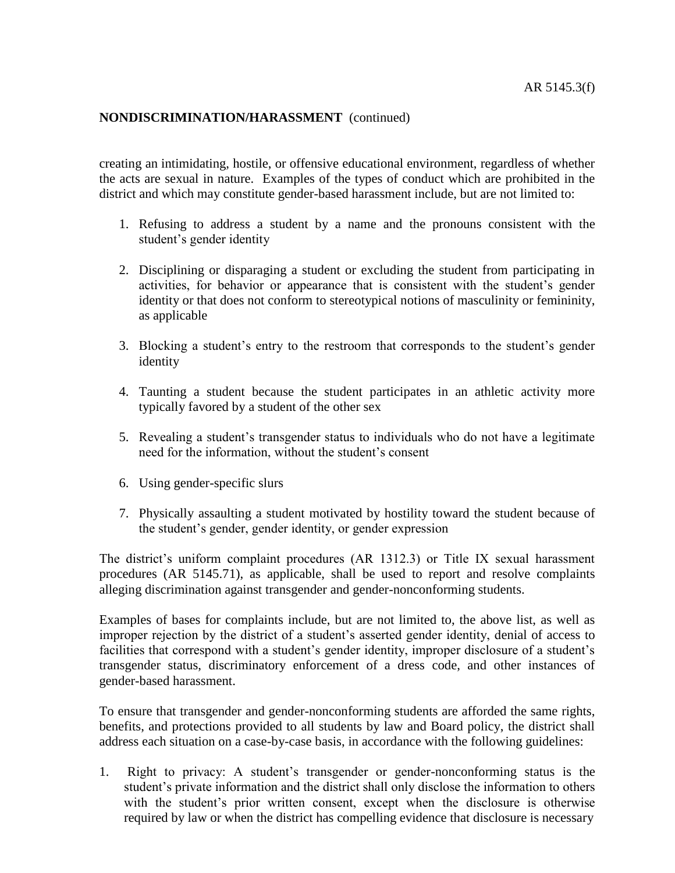creating an intimidating, hostile, or offensive educational environment, regardless of whether the acts are sexual in nature. Examples of the types of conduct which are prohibited in the district and which may constitute gender-based harassment include, but are not limited to:

- 1. Refusing to address a student by a name and the pronouns consistent with the student's gender identity
- 2. Disciplining or disparaging a student or excluding the student from participating in activities, for behavior or appearance that is consistent with the student's gender identity or that does not conform to stereotypical notions of masculinity or femininity, as applicable
- 3. Blocking a student's entry to the restroom that corresponds to the student's gender identity
- 4. Taunting a student because the student participates in an athletic activity more typically favored by a student of the other sex
- 5. Revealing a student's transgender status to individuals who do not have a legitimate need for the information, without the student's consent
- 6. Using gender-specific slurs
- 7. Physically assaulting a student motivated by hostility toward the student because of the student's gender, gender identity, or gender expression

The district's uniform complaint procedures (AR 1312.3) or Title IX sexual harassment procedures (AR 5145.71), as applicable, shall be used to report and resolve complaints alleging discrimination against transgender and gender-nonconforming students.

Examples of bases for complaints include, but are not limited to, the above list, as well as improper rejection by the district of a student's asserted gender identity, denial of access to facilities that correspond with a student's gender identity, improper disclosure of a student's transgender status, discriminatory enforcement of a dress code, and other instances of gender-based harassment.

To ensure that transgender and gender-nonconforming students are afforded the same rights, benefits, and protections provided to all students by law and Board policy, the district shall address each situation on a case-by-case basis, in accordance with the following guidelines:

1. Right to privacy: A student's transgender or gender-nonconforming status is the student's private information and the district shall only disclose the information to others with the student's prior written consent, except when the disclosure is otherwise required by law or when the district has compelling evidence that disclosure is necessary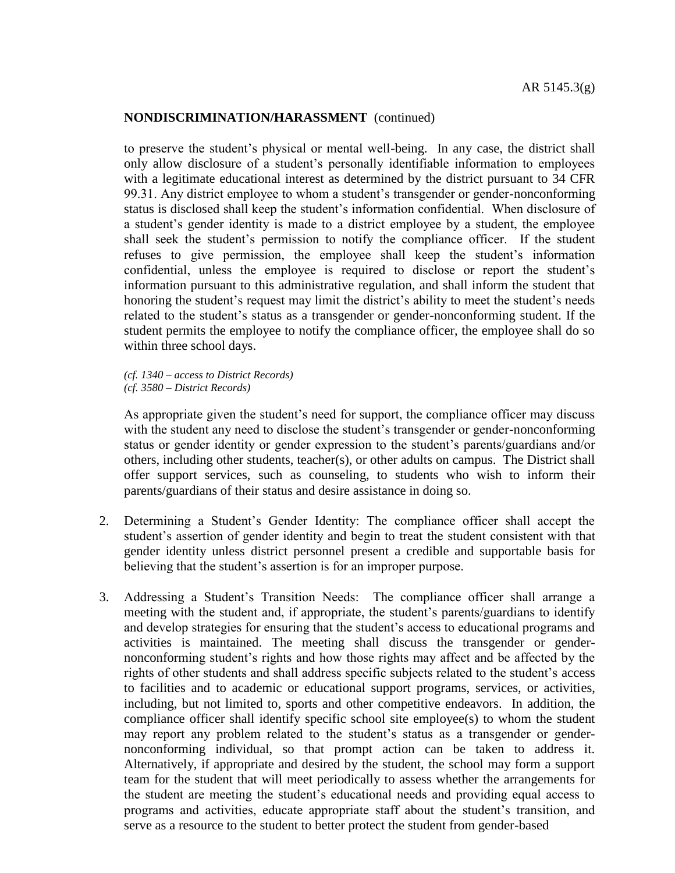to preserve the student's physical or mental well-being. In any case, the district shall only allow disclosure of a student's personally identifiable information to employees with a legitimate educational interest as determined by the district pursuant to 34 CFR 99.31. Any district employee to whom a student's transgender or gender-nonconforming status is disclosed shall keep the student's information confidential. When disclosure of a student's gender identity is made to a district employee by a student, the employee shall seek the student's permission to notify the compliance officer. If the student refuses to give permission, the employee shall keep the student's information confidential, unless the employee is required to disclose or report the student's information pursuant to this administrative regulation, and shall inform the student that honoring the student's request may limit the district's ability to meet the student's needs related to the student's status as a transgender or gender-nonconforming student. If the student permits the employee to notify the compliance officer, the employee shall do so within three school days.

*(cf. 1340 – access to District Records) (cf. 3580 – District Records)*

As appropriate given the student's need for support, the compliance officer may discuss with the student any need to disclose the student's transgender or gender-nonconforming status or gender identity or gender expression to the student's parents/guardians and/or others, including other students, teacher(s), or other adults on campus. The District shall offer support services, such as counseling, to students who wish to inform their parents/guardians of their status and desire assistance in doing so.

- 2. Determining a Student's Gender Identity: The compliance officer shall accept the student's assertion of gender identity and begin to treat the student consistent with that gender identity unless district personnel present a credible and supportable basis for believing that the student's assertion is for an improper purpose.
- 3. Addressing a Student's Transition Needs: The compliance officer shall arrange a meeting with the student and, if appropriate, the student's parents/guardians to identify and develop strategies for ensuring that the student's access to educational programs and activities is maintained. The meeting shall discuss the transgender or gendernonconforming student's rights and how those rights may affect and be affected by the rights of other students and shall address specific subjects related to the student's access to facilities and to academic or educational support programs, services, or activities, including, but not limited to, sports and other competitive endeavors. In addition, the compliance officer shall identify specific school site employee(s) to whom the student may report any problem related to the student's status as a transgender or gendernonconforming individual, so that prompt action can be taken to address it. Alternatively, if appropriate and desired by the student, the school may form a support team for the student that will meet periodically to assess whether the arrangements for the student are meeting the student's educational needs and providing equal access to programs and activities, educate appropriate staff about the student's transition, and serve as a resource to the student to better protect the student from gender-based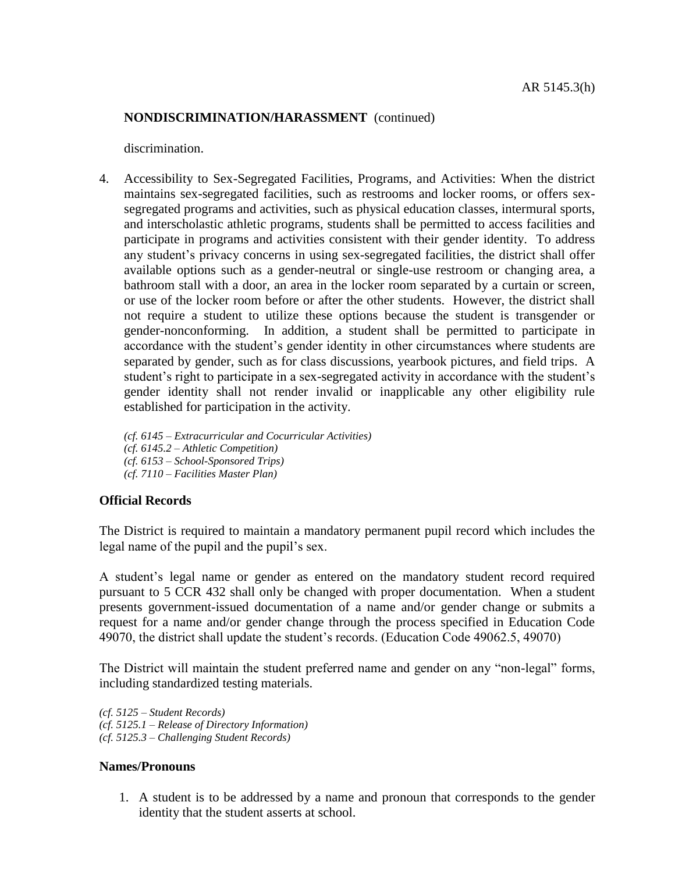discrimination.

4. Accessibility to Sex-Segregated Facilities, Programs, and Activities: When the district maintains sex-segregated facilities, such as restrooms and locker rooms, or offers sexsegregated programs and activities, such as physical education classes, intermural sports, and interscholastic athletic programs, students shall be permitted to access facilities and participate in programs and activities consistent with their gender identity. To address any student's privacy concerns in using sex-segregated facilities, the district shall offer available options such as a gender-neutral or single-use restroom or changing area, a bathroom stall with a door, an area in the locker room separated by a curtain or screen, or use of the locker room before or after the other students. However, the district shall not require a student to utilize these options because the student is transgender or gender-nonconforming. In addition, a student shall be permitted to participate in accordance with the student's gender identity in other circumstances where students are separated by gender, such as for class discussions, yearbook pictures, and field trips. A student's right to participate in a sex-segregated activity in accordance with the student's gender identity shall not render invalid or inapplicable any other eligibility rule established for participation in the activity.

*(cf. 6145 – Extracurricular and Cocurricular Activities) (cf. 6145.2 – Athletic Competition) (cf. 6153 – School-Sponsored Trips) (cf. 7110 – Facilities Master Plan)*

## **Official Records**

The District is required to maintain a mandatory permanent pupil record which includes the legal name of the pupil and the pupil's sex.

A student's legal name or gender as entered on the mandatory student record required pursuant to 5 CCR 432 shall only be changed with proper documentation. When a student presents government-issued documentation of a name and/or gender change or submits a request for a name and/or gender change through the process specified in Education Code 49070, the district shall update the student's records. (Education Code 49062.5, 49070)

The District will maintain the student preferred name and gender on any "non-legal" forms, including standardized testing materials.

*(cf. 5125 – Student Records) (cf. 5125.1 – Release of Directory Information) (cf. 5125.3 – Challenging Student Records)*

#### **Names/Pronouns**

1. A student is to be addressed by a name and pronoun that corresponds to the gender identity that the student asserts at school.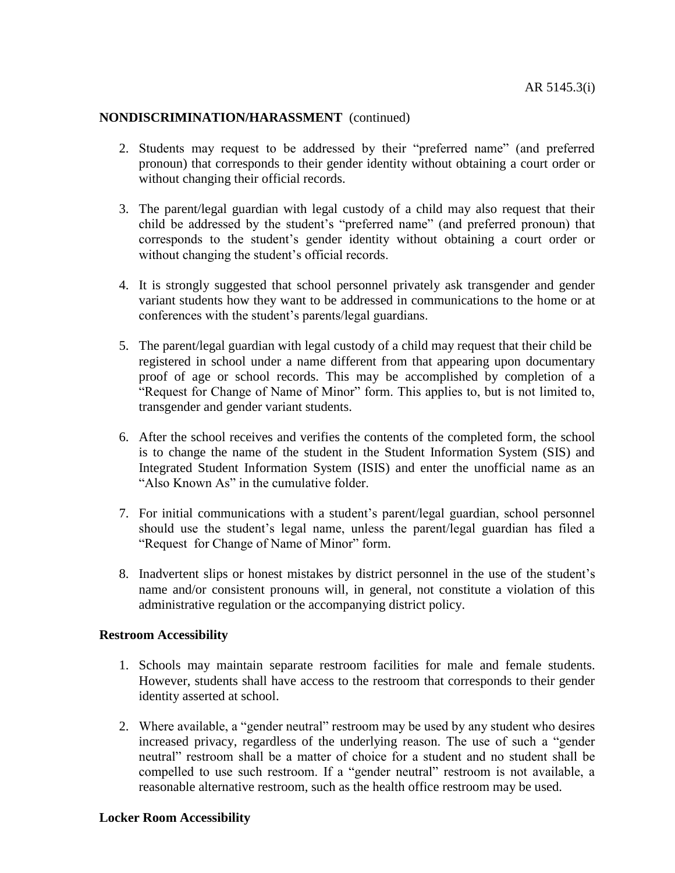- 2. Students may request to be addressed by their "preferred name" (and preferred pronoun) that corresponds to their gender identity without obtaining a court order or without changing their official records.
- 3. The parent/legal guardian with legal custody of a child may also request that their child be addressed by the student's "preferred name" (and preferred pronoun) that corresponds to the student's gender identity without obtaining a court order or without changing the student's official records.
- 4. It is strongly suggested that school personnel privately ask transgender and gender variant students how they want to be addressed in communications to the home or at conferences with the student's parents/legal guardians.
- 5. The parent/legal guardian with legal custody of a child may request that their child be registered in school under a name different from that appearing upon documentary proof of age or school records. This may be accomplished by completion of a "Request for Change of Name of Minor" form. This applies to, but is not limited to, transgender and gender variant students.
- 6. After the school receives and verifies the contents of the completed form, the school is to change the name of the student in the Student Information System (SIS) and Integrated Student Information System (ISIS) and enter the unofficial name as an "Also Known As" in the cumulative folder.
- 7. For initial communications with a student's parent/legal guardian, school personnel should use the student's legal name, unless the parent/legal guardian has filed a "Request for Change of Name of Minor" form.
- 8. Inadvertent slips or honest mistakes by district personnel in the use of the student's name and/or consistent pronouns will, in general, not constitute a violation of this administrative regulation or the accompanying district policy.

#### **Restroom Accessibility**

- 1. Schools may maintain separate restroom facilities for male and female students. However, students shall have access to the restroom that corresponds to their gender identity asserted at school.
- 2. Where available, a "gender neutral" restroom may be used by any student who desires increased privacy, regardless of the underlying reason. The use of such a "gender neutral" restroom shall be a matter of choice for a student and no student shall be compelled to use such restroom. If a "gender neutral" restroom is not available, a reasonable alternative restroom, such as the health office restroom may be used.

#### **Locker Room Accessibility**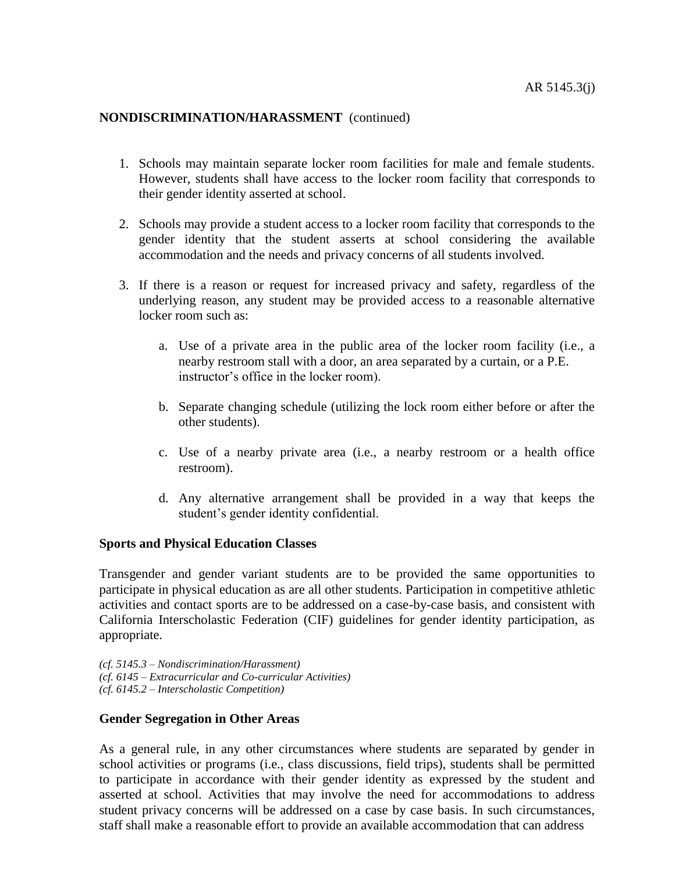- 1. Schools may maintain separate locker room facilities for male and female students. However, students shall have access to the locker room facility that corresponds to their gender identity asserted at school.
- 2. Schools may provide a student access to a locker room facility that corresponds to the gender identity that the student asserts at school considering the available accommodation and the needs and privacy concerns of all students involved.
- 3. If there is a reason or request for increased privacy and safety, regardless of the underlying reason, any student may be provided access to a reasonable alternative locker room such as:
	- a. Use of a private area in the public area of the locker room facility (i.e., a nearby restroom stall with a door, an area separated by a curtain, or a P.E. instructor's office in the locker room).
	- b. Separate changing schedule (utilizing the lock room either before or after the other students).
	- c. Use of a nearby private area (i.e., a nearby restroom or a health office restroom).
	- d. Any alternative arrangement shall be provided in a way that keeps the student's gender identity confidential.

#### **Sports and Physical Education Classes**

Transgender and gender variant students are to be provided the same opportunities to participate in physical education as are all other students. Participation in competitive athletic activities and contact sports are to be addressed on a case-by-case basis, and consistent with California Interscholastic Federation (CIF) guidelines for gender identity participation, as appropriate.

*(cf. 5145.3 – Nondiscrimination/Harassment) (cf. 6145 – Extracurricular and Co-curricular Activities) (cf. 6145.2 – Interscholastic Competition)*

#### **Gender Segregation in Other Areas**

As a general rule, in any other circumstances where students are separated by gender in school activities or programs (i.e., class discussions, field trips), students shall be permitted to participate in accordance with their gender identity as expressed by the student and asserted at school. Activities that may involve the need for accommodations to address student privacy concerns will be addressed on a case by case basis. In such circumstances, staff shall make a reasonable effort to provide an available accommodation that can address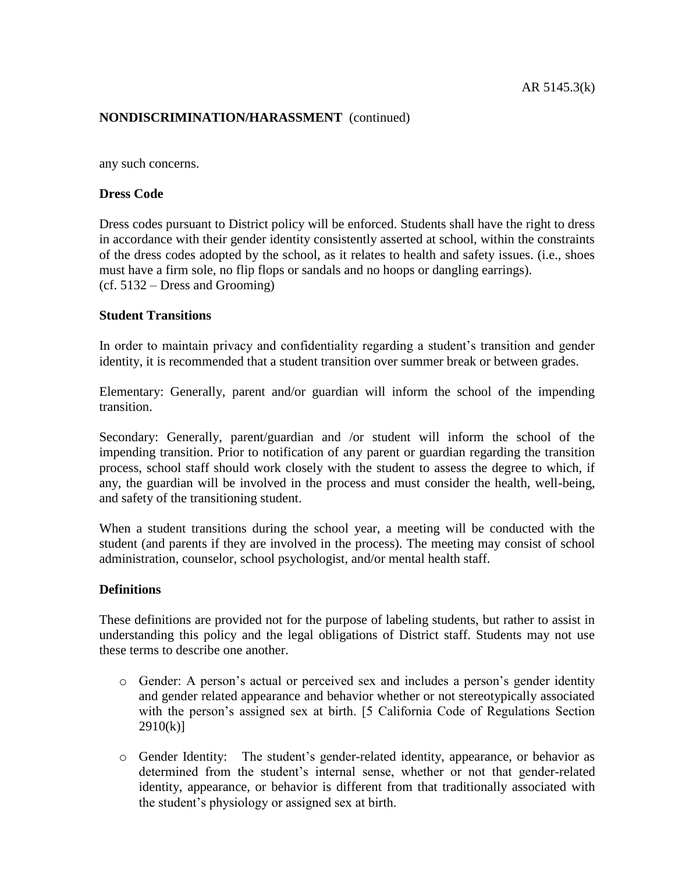any such concerns.

## **Dress Code**

Dress codes pursuant to District policy will be enforced. Students shall have the right to dress in accordance with their gender identity consistently asserted at school, within the constraints of the dress codes adopted by the school, as it relates to health and safety issues. (i.e., shoes must have a firm sole, no flip flops or sandals and no hoops or dangling earrings). (cf. 5132 – Dress and Grooming)

## **Student Transitions**

In order to maintain privacy and confidentiality regarding a student's transition and gender identity, it is recommended that a student transition over summer break or between grades.

Elementary: Generally, parent and/or guardian will inform the school of the impending transition.

Secondary: Generally, parent/guardian and /or student will inform the school of the impending transition. Prior to notification of any parent or guardian regarding the transition process, school staff should work closely with the student to assess the degree to which, if any, the guardian will be involved in the process and must consider the health, well-being, and safety of the transitioning student.

When a student transitions during the school year, a meeting will be conducted with the student (and parents if they are involved in the process). The meeting may consist of school administration, counselor, school psychologist, and/or mental health staff.

## **Definitions**

These definitions are provided not for the purpose of labeling students, but rather to assist in understanding this policy and the legal obligations of District staff. Students may not use these terms to describe one another.

- o Gender: A person's actual or perceived sex and includes a person's gender identity and gender related appearance and behavior whether or not stereotypically associated with the person's assigned sex at birth. [5 California Code of Regulations Section  $2910(k)$ ]
- o Gender Identity: The student's gender-related identity, appearance, or behavior as determined from the student's internal sense, whether or not that gender-related identity, appearance, or behavior is different from that traditionally associated with the student's physiology or assigned sex at birth.